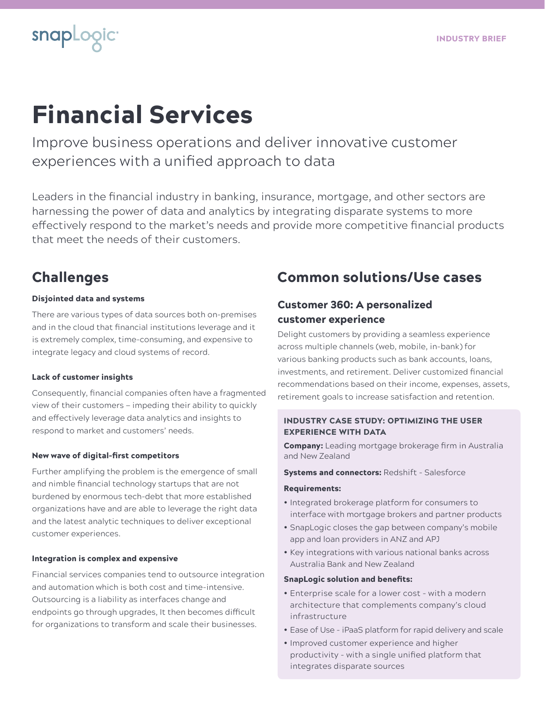# Financial Services

Improve business operations and deliver innovative customer experiences with a unified approach to data

Leaders in the financial industry in banking, insurance, mortgage, and other sectors are harnessing the power of data and analytics by integrating disparate systems to more effectively respond to the market's needs and provide more competitive financial products that meet the needs of their customers.

# Challenges

snapLogic<sup>®</sup>

#### Disjointed data and systems

There are various types of data sources both on-premises and in the cloud that financial institutions leverage and it is extremely complex, time-consuming, and expensive to integrate legacy and cloud systems of record.

#### Lack of customer insights

Consequently, financial companies often have a fragmented view of their customers — impeding their ability to quickly and effectively leverage data analytics and insights to respond to market and customers' needs.

#### New wave of digital-first competitors

Further amplifying the problem is the emergence of small and nimble financial technology startups that are not burdened by enormous tech-debt that more established organizations have and are able to leverage the right data and the latest analytic techniques to deliver exceptional customer experiences.

#### Integration is complex and expensive

Financial services companies tend to outsource integration and automation which is both cost and time-intensive. Outsourcing is a liability as interfaces change and endpoints go through upgrades, It then becomes difficult for organizations to transform and scale their businesses.

# Common solutions/Use cases

# Customer 360: A personalized customer experience

Delight customers by providing a seamless experience across multiple channels (web, mobile, in-bank) for various banking products such as bank accounts, loans, investments, and retirement. Deliver customized financial recommendations based on their income, expenses, assets, retirement goals to increase satisfaction and retention.

## INDUSTRY CASE STUDY: OPTIMIZING THE USER EXPERIENCE WITH DATA

Company: Leading mortgage brokerage firm in Australia and New Zealand

#### **Systems and connectors: Redshift - Salesforce**

#### Requirements:

- Integrated brokerage platform for consumers to interface with mortgage brokers and partner products
- SnapLogic closes the gap between company's mobile app and loan providers in ANZ and APJ
- Key integrations with various national banks across Australia Bank and New Zealand

#### SnapLogic solution and benefits:

- Enterprise scale for a lower cost with a modern architecture that complements company's cloud infrastructure
- Ease of Use iPaaS platform for rapid delivery and scale
- Improved customer experience and higher productivity - with a single unified platform that integrates disparate sources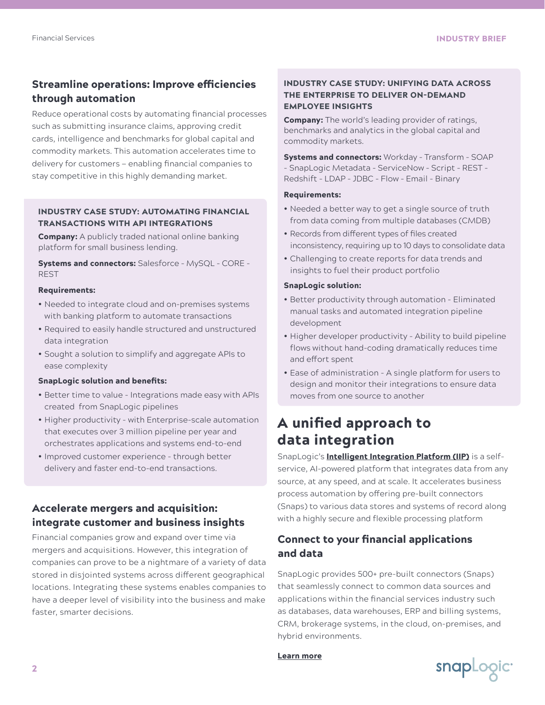# Streamline operations: Improve efficiencies through automation

Reduce operational costs by automating financial processes such as submitting insurance claims, approving credit cards, intelligence and benchmarks for global capital and commodity markets. This automation accelerates time to delivery for customers — enabling financial companies to stay competitive in this highly demanding market.

#### INDUSTRY CASE STUDY: AUTOMATING FINANCIAL TRANSACTIONS WITH API INTEGRATIONS

**Company:** A publicly traded national online banking platform for small business lending.

Systems and connectors: Salesforce – MySQL – CORE - REST

#### Requirements:

- Needed to integrate cloud and on-premises systems with banking platform to automate transactions
- Required to easily handle structured and unstructured data integration
- Sought a solution to simplify and aggregate APIs to ease complexity

#### SnapLogic solution and benefits:

- Better time to value Integrations made easy with APIs created from SnapLogic pipelines
- Higher productivity with Enterprise-scale automation that executes over 3 million pipeline per year and orchestrates applications and systems end-to-end
- Improved customer experience through better delivery and faster end-to-end transactions.

# Accelerate mergers and acquisition: integrate customer and business insights

Financial companies grow and expand over time via mergers and acquisitions. However, this integration of companies can prove to be a nightmare of a variety of data stored in disjointed systems across different geographical locations. Integrating these systems enables companies to have a deeper level of visibility into the business and make faster, smarter decisions.

#### INDUSTRY CASE STUDY: UNIFYING DATA ACROSS THE ENTERPRISE TO DELIVER ON-DEMAND EMPLOYEE INSIGHTS

**Company:** The world's leading provider of ratings, benchmarks and analytics in the global capital and commodity markets.

**Systems and connectors: Workday - Transform - SOAP** - SnapLogic Metadata – ServiceNow – Script – REST – Redshift – LDAP – JDBC – Flow – Email - Binary

#### Requirements:

- Needed a better way to get a single source of truth from data coming from multiple databases (CMDB)
- Records from different types of files created inconsistency, requiring up to 10 days to consolidate data
- Challenging to create reports for data trends and insights to fuel their product portfolio

#### SnapLogic solution:

- Better productivity through automation Eliminated manual tasks and automated integration pipeline development
- Higher developer productivity Ability to build pipeline flows without hand-coding dramatically reduces time and effort spent
- Ease of administration A single platform for users to design and monitor their integrations to ensure data moves from one source to another

# A unified approach to data integration

SnapLogic's **[Intelligent Integration Platform \(IIP\)](https://www.snaplogic.com/products/intelligent-integration-platform)** is a selfservice, AI-powered platform that integrates data from any source, at any speed, and at scale. It accelerates business process automation by offering pre-built connectors (Snaps) to various data stores and systems of record along with a highly secure and flexible processing platform

# Connect to your financial applications and data

SnapLogic provides 500+ pre-built connectors (Snaps) that seamlessly connect to common data sources and applications within the financial services industry such as databases, data warehouses, ERP and billing systems, CRM, brokerage systems, in the cloud, on-premises, and hybrid environments.

[Learn more](https://www.snaplogic.com/products/application-integration)